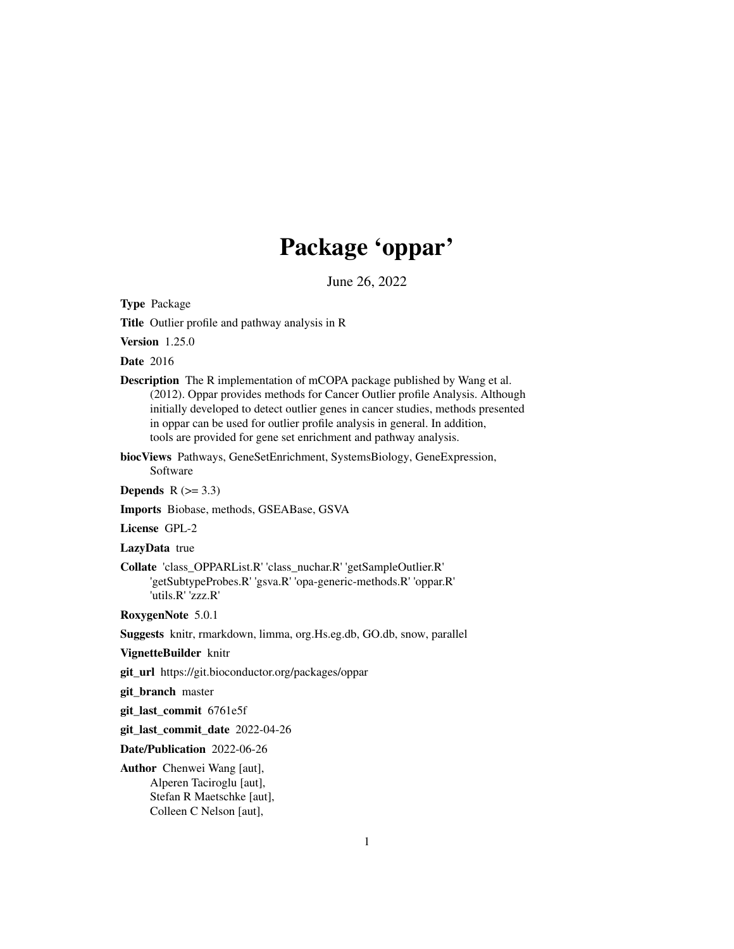## Package 'oppar'

June 26, 2022

Type Package

Title Outlier profile and pathway analysis in R

Version 1.25.0

Date 2016

Description The R implementation of mCOPA package published by Wang et al. (2012). Oppar provides methods for Cancer Outlier profile Analysis. Although initially developed to detect outlier genes in cancer studies, methods presented in oppar can be used for outlier profile analysis in general. In addition, tools are provided for gene set enrichment and pathway analysis.

biocViews Pathways, GeneSetEnrichment, SystemsBiology, GeneExpression,

Software

Depends  $R$  ( $> = 3.3$ )

Imports Biobase, methods, GSEABase, GSVA

License GPL-2

LazyData true

Collate 'class\_OPPARList.R' 'class\_nuchar.R' 'getSampleOutlier.R' 'getSubtypeProbes.R' 'gsva.R' 'opa-generic-methods.R' 'oppar.R' 'utils.R' 'zzz.R'

RoxygenNote 5.0.1

Suggests knitr, rmarkdown, limma, org.Hs.eg.db, GO.db, snow, parallel

VignetteBuilder knitr

git\_url https://git.bioconductor.org/packages/oppar

git\_branch master

git\_last\_commit 6761e5f

git\_last\_commit\_date 2022-04-26

Date/Publication 2022-06-26

Author Chenwei Wang [aut], Alperen Taciroglu [aut], Stefan R Maetschke [aut], Colleen C Nelson [aut],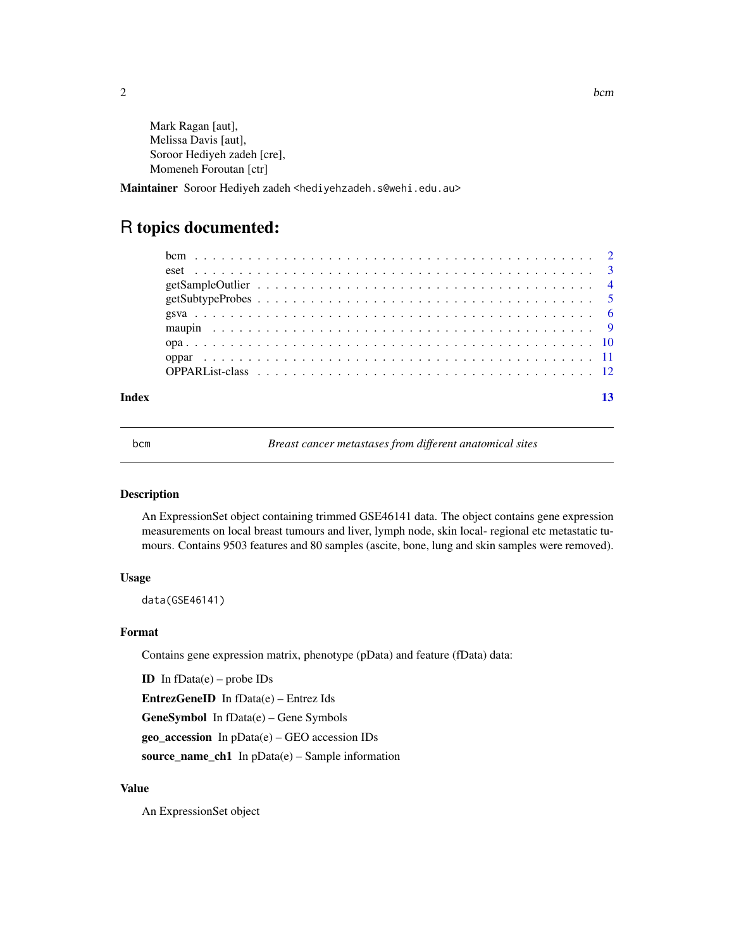<span id="page-1-0"></span> $2$ 

Mark Ragan [aut], Melissa Davis [aut], Soroor Hediyeh zadeh [cre], Momeneh Foroutan [ctr]

Maintainer Soroor Hediyeh zadeh <hediyehzadeh.s@wehi.edu.au>

### R topics documented:

#### **Index** [13](#page-12-0)

bcm *Breast cancer metastases from different anatomical sites*

#### Description

An ExpressionSet object containing trimmed GSE46141 data. The object contains gene expression measurements on local breast tumours and liver, lymph node, skin local- regional etc metastatic tumours. Contains 9503 features and 80 samples (ascite, bone, lung and skin samples were removed).

#### Usage

data(GSE46141)

#### Format

Contains gene expression matrix, phenotype (pData) and feature (fData) data:

ID In  $fData(e)$  – probe IDs

EntrezGeneID In fData(e) – Entrez Ids

GeneSymbol In fData(e) – Gene Symbols

geo\_accession In pData(e) – GEO accession IDs

source\_name\_ch1 In pData(e) – Sample information

#### Value

An ExpressionSet object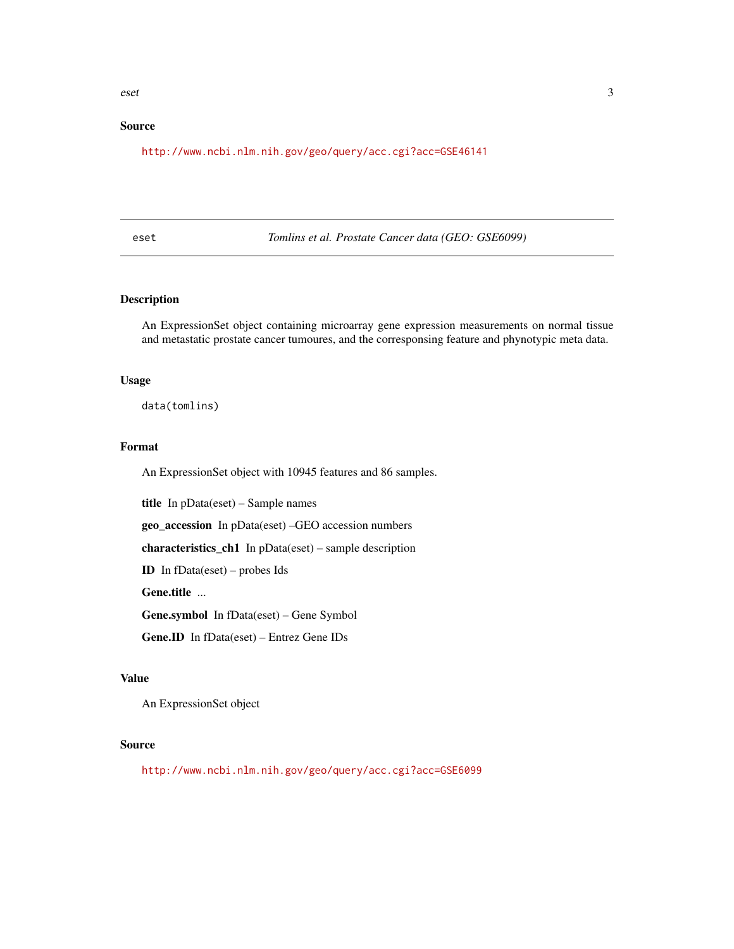#### <span id="page-2-0"></span>eset 3

#### Source

<http://www.ncbi.nlm.nih.gov/geo/query/acc.cgi?acc=GSE46141>

eset *Tomlins et al. Prostate Cancer data (GEO: GSE6099)*

#### Description

An ExpressionSet object containing microarray gene expression measurements on normal tissue and metastatic prostate cancer tumoures, and the corresponsing feature and phynotypic meta data.

#### Usage

data(tomlins)

#### Format

An ExpressionSet object with 10945 features and 86 samples.

title In pData(eset) – Sample names

geo\_accession In pData(eset) –GEO accession numbers

characteristics\_ch1 In pData(eset) – sample description

ID In fData(eset) – probes Ids

Gene.title ...

Gene.symbol In fData(eset) – Gene Symbol

Gene.ID In fData(eset) – Entrez Gene IDs

#### Value

An ExpressionSet object

#### Source

<http://www.ncbi.nlm.nih.gov/geo/query/acc.cgi?acc=GSE6099>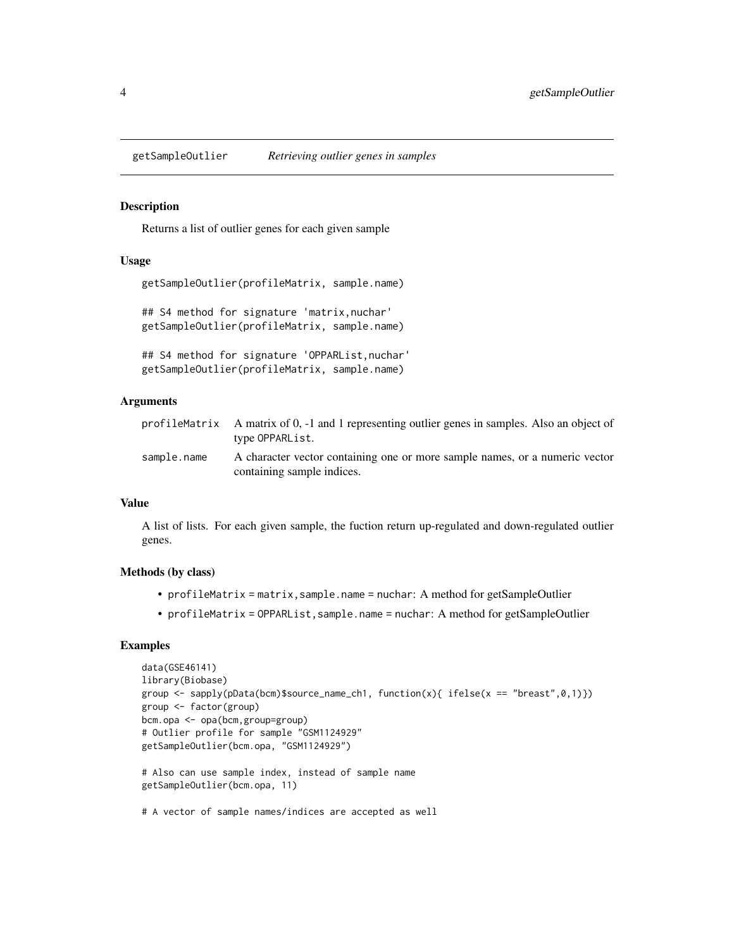<span id="page-3-0"></span>

#### Description

Returns a list of outlier genes for each given sample

#### Usage

```
getSampleOutlier(profileMatrix, sample.name)
## S4 method for signature 'matrix, nuchar'
getSampleOutlier(profileMatrix, sample.name)
## S4 method for signature 'OPPARList,nuchar'
```

```
getSampleOutlier(profileMatrix, sample.name)
```
#### Arguments

|             | profile Matrix A matrix of 0, -1 and 1 representing outlier genes in samples. Also an object of<br>type OPPARList. |
|-------------|--------------------------------------------------------------------------------------------------------------------|
| sample.name | A character vector containing one or more sample names, or a numeric vector<br>containing sample indices.          |

#### Value

A list of lists. For each given sample, the fuction return up-regulated and down-regulated outlier genes.

#### Methods (by class)

- profileMatrix = matrix,sample.name = nuchar: A method for getSampleOutlier
- profileMatrix = OPPARList,sample.name = nuchar: A method for getSampleOutlier

#### Examples

```
data(GSE46141)
library(Biobase)
group <- sapply(pData(bcm)$source_name_ch1, function(x){ ifelse(x == "breast",0,1)})
group <- factor(group)
bcm.opa <- opa(bcm,group=group)
# Outlier profile for sample "GSM1124929"
getSampleOutlier(bcm.opa, "GSM1124929")
# Also can use sample index, instead of sample name
getSampleOutlier(bcm.opa, 11)
# A vector of sample names/indices are accepted as well
```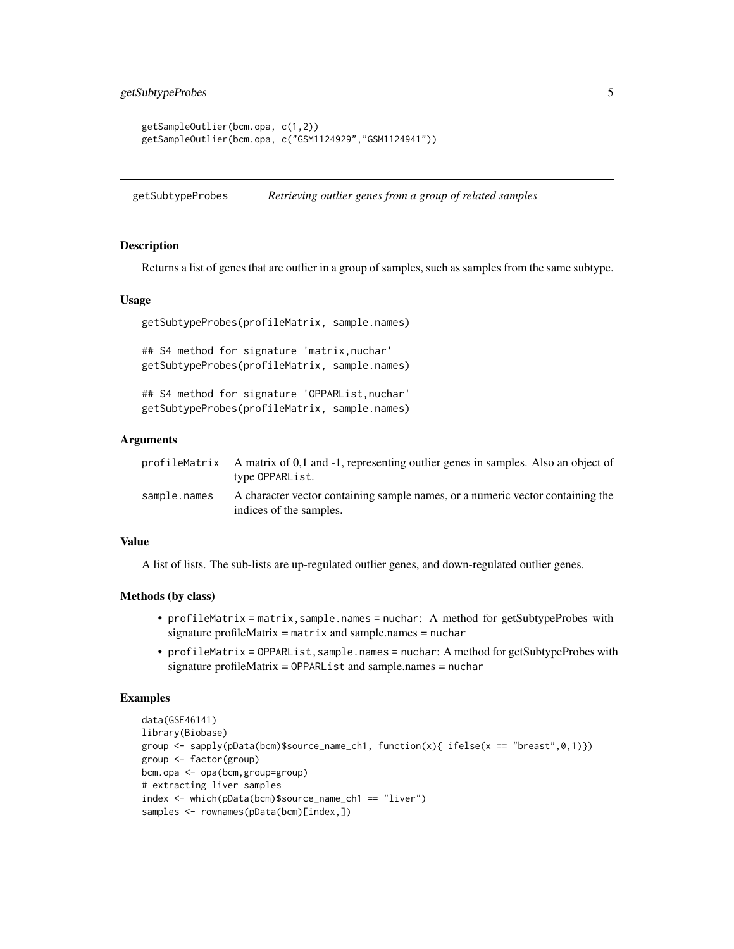```
getSampleOutlier(bcm.opa, c(1,2))
getSampleOutlier(bcm.opa, c("GSM1124929","GSM1124941"))
```
getSubtypeProbes *Retrieving outlier genes from a group of related samples*

#### Description

Returns a list of genes that are outlier in a group of samples, such as samples from the same subtype.

#### Usage

```
getSubtypeProbes(profileMatrix, sample.names)
```
## S4 method for signature 'matrix, nuchar' getSubtypeProbes(profileMatrix, sample.names)

## S4 method for signature 'OPPARList,nuchar' getSubtypeProbes(profileMatrix, sample.names)

#### Arguments

|              | profileMatrix A matrix of 0,1 and -1, representing outlier genes in samples. Also an object of<br>type OPPARList. |
|--------------|-------------------------------------------------------------------------------------------------------------------|
| sample.names | A character vector containing sample names, or a numeric vector containing the<br>indices of the samples.         |

#### Value

A list of lists. The sub-lists are up-regulated outlier genes, and down-regulated outlier genes.

#### Methods (by class)

- profileMatrix = matrix,sample.names = nuchar: A method for getSubtypeProbes with signature profileMatrix =  $matrix$  matrix and sample.names = nuchar
- profileMatrix = OPPARList,sample.names = nuchar: A method for getSubtypeProbes with signature profileMatrix = OPPARList and sample.names = nuchar

#### Examples

```
data(GSE46141)
library(Biobase)
group <- sapply(pData(bcm)$source_name_ch1, function(x){ ifelse(x == "breast",0,1)})
group <- factor(group)
bcm.opa <- opa(bcm,group=group)
# extracting liver samples
index <- which(pData(bcm)$source_name_ch1 == "liver")
samples <- rownames(pData(bcm)[index,])
```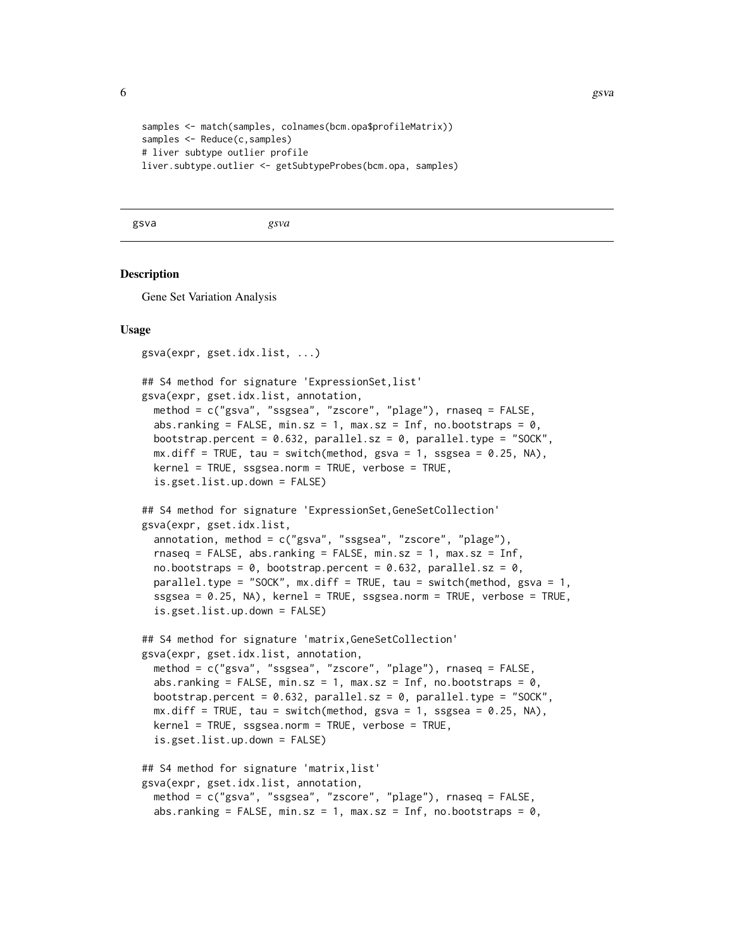```
samples <- match(samples, colnames(bcm.opa$profileMatrix))
samples <- Reduce(c,samples)
# liver subtype outlier profile
liver.subtype.outlier <- getSubtypeProbes(bcm.opa, samples)
```
gsva *gsva*

#### Description

Gene Set Variation Analysis

#### Usage

```
gsva(expr, gset.idx.list, ...)
## S4 method for signature 'ExpressionSet,list'
gsva(expr, gset.idx.list, annotation,
 method = c("gsva", "ssgsea", "zscore", "plage"), rnaseq = FALSE,
  abs.ranking = FALSE, min.sz = 1, max.sz = Inf, no.bootstraps = 0,
 bootstrap.percent = 0.632, parallel.sz = 0, parallel.type = "SOCK",
 mx.diff = TRUE, tau = switch(method, gsva = 1, ssgsea = 0.25, NA),kernel = TRUE, ssgsea.norm = TRUE, verbose = TRUE,
  is.gset.list.up.down = FALSE)
## S4 method for signature 'ExpressionSet, GeneSetCollection'
gsva(expr, gset.idx.list,
  annotation, method = c("gsva", "ssgsea", "zscore", "plage"),
  rnaseq = FALSE, abs.ranking = FALSE, min.sz = 1, max.sz = Inf,
  no.bootstraps = 0, bootstrap.percent = 0.632, parallel.sz = 0,
 parallel.type = "SOCK", mx.diff = TRUE, tau = switch(method, gsva = 1,
  ssgsea = 0.25, NA), kernel = TRUE, ssgsea.norm = TRUE, verbose = TRUE,
  is.gset.list.up.down = FALSE)
## S4 method for signature 'matrix,GeneSetCollection'
gsva(expr, gset.idx.list, annotation,
 method = c("gsva", "ssgsea", "zscore", "plage"), rnaseq = FALSE,
  abs.ranking = FALSE, min.sz = 1, max.sz = Inf, no.bootstraps = 0,
 bootstrap.percent = 0.632, parallel.sz = 0, parallel.type = "SOCK",
 mx.diff = TRUE, tau = switch(method, gsva = 1, ssgsea = 0.25, NA),
 kernel = TRUE, ssgsea.norm = TRUE, verbose = TRUE,
  is.gset.list.up.down = FALSE)
## S4 method for signature 'matrix,list'
gsva(expr, gset.idx.list, annotation,
 method = c("gsva", "ssgsea", "zscore", "plage"), rnaseq = FALSE,
  abs.ranking = FALSE, min.sz = 1, max.sz = Inf, no.bootstraps = 0,
```
<span id="page-5-0"></span>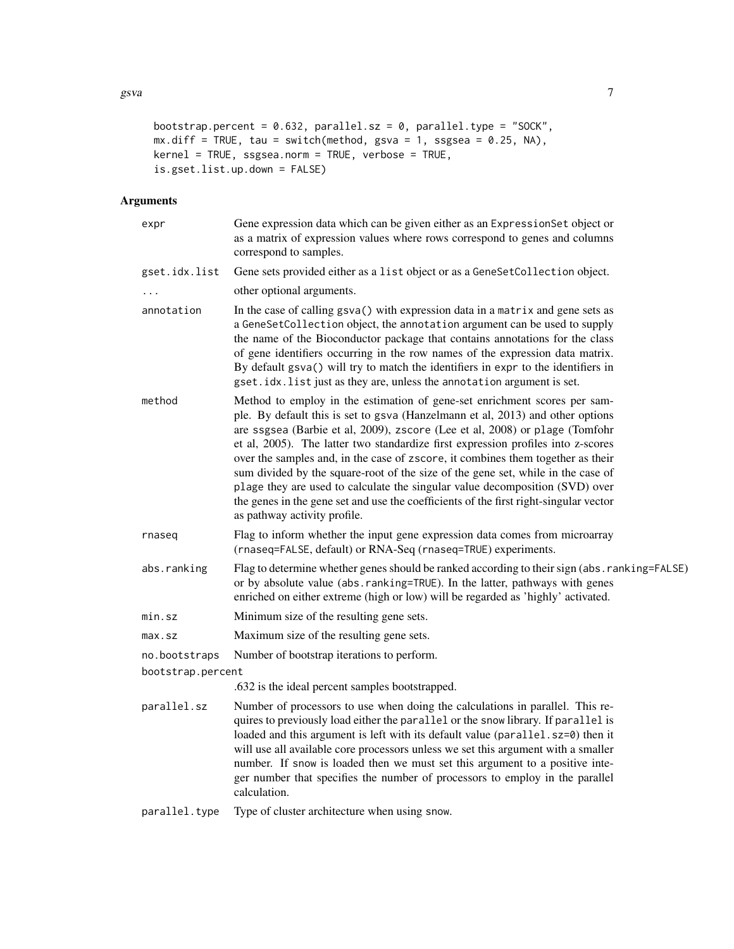```
bootstrap.percent = 0.632, parallel.sz = 0, parallel.type = "SOCK",
mx.diff = TRUE, tau = switch(method, gsva = 1, ssgsea = 0.25, NA),kernel = TRUE, ssgsea.norm = TRUE, verbose = TRUE,
is.gset.list.up.down = FALSE)
```
#### Arguments

| expr              | Gene expression data which can be given either as an ExpressionSet object or<br>as a matrix of expression values where rows correspond to genes and columns<br>correspond to samples.                                                                                                                                                                                                                                                                                                                                                                                                                                                                                                                          |
|-------------------|----------------------------------------------------------------------------------------------------------------------------------------------------------------------------------------------------------------------------------------------------------------------------------------------------------------------------------------------------------------------------------------------------------------------------------------------------------------------------------------------------------------------------------------------------------------------------------------------------------------------------------------------------------------------------------------------------------------|
| gset.idx.list     | Gene sets provided either as a list object or as a GeneSetCollection object.                                                                                                                                                                                                                                                                                                                                                                                                                                                                                                                                                                                                                                   |
|                   | other optional arguments.                                                                                                                                                                                                                                                                                                                                                                                                                                                                                                                                                                                                                                                                                      |
| annotation        | In the case of calling gsva() with expression data in a matrix and gene sets as<br>a GeneSetCollection object, the annotation argument can be used to supply<br>the name of the Bioconductor package that contains annotations for the class<br>of gene identifiers occurring in the row names of the expression data matrix.<br>By default gsva() will try to match the identifiers in expr to the identifiers in<br>gset.idx.list just as they are, unless the annotation argument is set.                                                                                                                                                                                                                   |
| method            | Method to employ in the estimation of gene-set enrichment scores per sam-<br>ple. By default this is set to gsva (Hanzelmann et al, 2013) and other options<br>are ssgsea (Barbie et al, 2009), zscore (Lee et al, 2008) or plage (Tomfohr<br>et al, 2005). The latter two standardize first expression profiles into z-scores<br>over the samples and, in the case of zscore, it combines them together as their<br>sum divided by the square-root of the size of the gene set, while in the case of<br>plage they are used to calculate the singular value decomposition (SVD) over<br>the genes in the gene set and use the coefficients of the first right-singular vector<br>as pathway activity profile. |
| rnaseq            | Flag to inform whether the input gene expression data comes from microarray<br>(rnaseq=FALSE, default) or RNA-Seq (rnaseq=TRUE) experiments.                                                                                                                                                                                                                                                                                                                                                                                                                                                                                                                                                                   |
| abs.ranking       | Flag to determine whether genes should be ranked according to their sign (abs.ranking=FALSE)<br>or by absolute value (abs.ranking=TRUE). In the latter, pathways with genes<br>enriched on either extreme (high or low) will be regarded as 'highly' activated.                                                                                                                                                                                                                                                                                                                                                                                                                                                |
| min.sz            | Minimum size of the resulting gene sets.                                                                                                                                                                                                                                                                                                                                                                                                                                                                                                                                                                                                                                                                       |
| $max$ .sz         | Maximum size of the resulting gene sets.                                                                                                                                                                                                                                                                                                                                                                                                                                                                                                                                                                                                                                                                       |
| no.bootstraps     | Number of bootstrap iterations to perform.                                                                                                                                                                                                                                                                                                                                                                                                                                                                                                                                                                                                                                                                     |
| bootstrap.percent |                                                                                                                                                                                                                                                                                                                                                                                                                                                                                                                                                                                                                                                                                                                |
|                   | .632 is the ideal percent samples bootstrapped.                                                                                                                                                                                                                                                                                                                                                                                                                                                                                                                                                                                                                                                                |
| parallel.sz       | Number of processors to use when doing the calculations in parallel. This re-<br>quires to previously load either the parallel or the snow library. If parallel is<br>loaded and this argument is left with its default value (parallel.sz=0) then it<br>will use all available core processors unless we set this argument with a smaller<br>number. If snow is loaded then we must set this argument to a positive inte-<br>ger number that specifies the number of processors to employ in the parallel<br>calculation.                                                                                                                                                                                     |
| parallel.type     | Type of cluster architecture when using snow.                                                                                                                                                                                                                                                                                                                                                                                                                                                                                                                                                                                                                                                                  |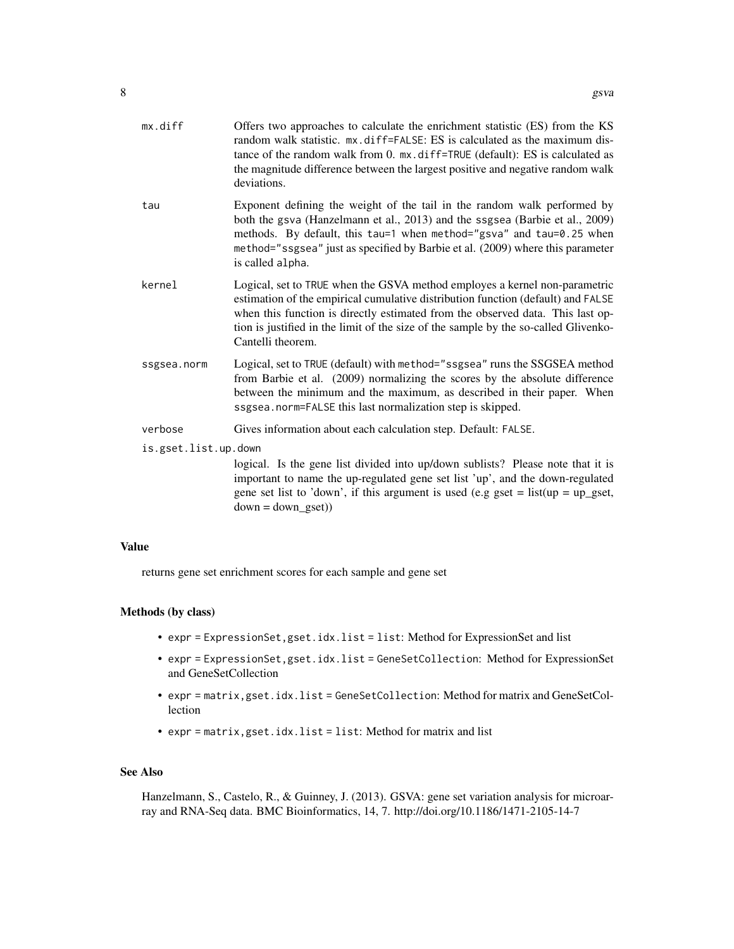| mx.diff              | Offers two approaches to calculate the enrichment statistic (ES) from the KS<br>random walk statistic. mx.diff=FALSE: ES is calculated as the maximum dis-<br>tance of the random walk from 0. mx.diff=TRUE (default): ES is calculated as<br>the magnitude difference between the largest positive and negative random walk<br>deviations.                  |  |  |  |  |  |  |  |
|----------------------|--------------------------------------------------------------------------------------------------------------------------------------------------------------------------------------------------------------------------------------------------------------------------------------------------------------------------------------------------------------|--|--|--|--|--|--|--|
| tau                  | Exponent defining the weight of the tail in the random walk performed by<br>both the gsva (Hanzelmann et al., 2013) and the ssgsea (Barbie et al., 2009)<br>methods. By default, this tau=1 when method="gsva" and tau=0.25 when<br>method="ssgsea" just as specified by Barbie et al. (2009) where this parameter<br>is called alpha.                       |  |  |  |  |  |  |  |
| kernel               | Logical, set to TRUE when the GSVA method employes a kernel non-parametric<br>estimation of the empirical cumulative distribution function (default) and FALSE<br>when this function is directly estimated from the observed data. This last op-<br>tion is justified in the limit of the size of the sample by the so-called Glivenko-<br>Cantelli theorem. |  |  |  |  |  |  |  |
| ssgsea.norm          | Logical, set to TRUE (default) with method="ssgsea" runs the SSGSEA method<br>from Barbie et al. (2009) normalizing the scores by the absolute difference<br>between the minimum and the maximum, as described in their paper. When<br>ssgsea.norm=FALSE this last normalization step is skipped.                                                            |  |  |  |  |  |  |  |
| verbose              | Gives information about each calculation step. Default: FALSE.                                                                                                                                                                                                                                                                                               |  |  |  |  |  |  |  |
| is.gset.list.up.down |                                                                                                                                                                                                                                                                                                                                                              |  |  |  |  |  |  |  |
|                      | logical. Is the gene list divided into up/down sublists? Please note that it is<br>important to name the up-regulated gene set list 'up', and the down-regulated<br>gene set list to 'down', if this argument is used (e.g gset = $list(up = up\_gset,$<br>$down = down\_gset)$                                                                              |  |  |  |  |  |  |  |
|                      |                                                                                                                                                                                                                                                                                                                                                              |  |  |  |  |  |  |  |

#### Value

returns gene set enrichment scores for each sample and gene set

#### Methods (by class)

- expr = ExpressionSet,gset.idx.list = list: Method for ExpressionSet and list
- expr = ExpressionSet,gset.idx.list = GeneSetCollection: Method for ExpressionSet and GeneSetCollection
- expr = matrix,gset.idx.list = GeneSetCollection: Method for matrix and GeneSetCollection
- expr = matrix,gset.idx.list = list: Method for matrix and list

#### See Also

Hanzelmann, S., Castelo, R., & Guinney, J. (2013). GSVA: gene set variation analysis for microarray and RNA-Seq data. BMC Bioinformatics, 14, 7. http://doi.org/10.1186/1471-2105-14-7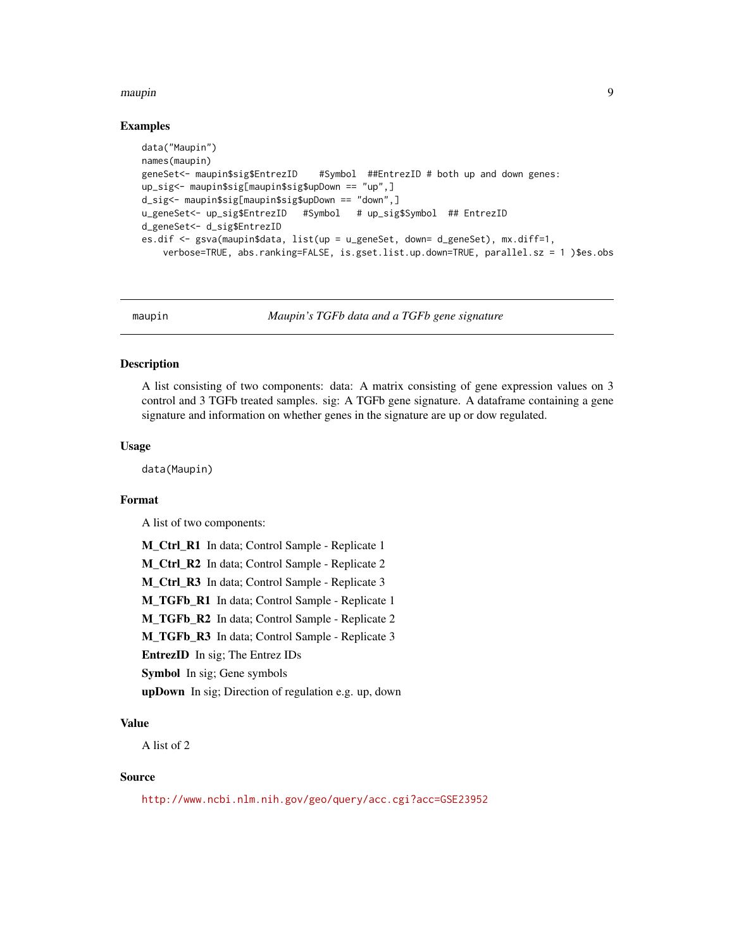#### <span id="page-8-0"></span>maupin 9

#### Examples

```
data("Maupin")
names(maupin)
geneSet<- maupin$sig$EntrezID #Symbol ##EntrezID # both up and down genes:
up_sig<- maupin$sig[maupin$sig$upDown == "up",]
d_sig<- maupin$sig[maupin$sig$upDown == "down",]
u_geneSet<- up_sig$EntrezID #Symbol # up_sig$Symbol ## EntrezID
d_geneSet<- d_sig$EntrezID
es.dif <- gsva(maupin$data, list(up = u_geneSet, down= d_geneSet), mx.diff=1,
   verbose=TRUE, abs.ranking=FALSE, is.gset.list.up.down=TRUE, parallel.sz = 1 )$es.obs
```
maupin *Maupin's TGFb data and a TGFb gene signature*

#### Description

A list consisting of two components: data: A matrix consisting of gene expression values on 3 control and 3 TGFb treated samples. sig: A TGFb gene signature. A dataframe containing a gene signature and information on whether genes in the signature are up or dow regulated.

#### Usage

data(Maupin)

#### Format

A list of two components:

```
M_Ctrl_R1 In data; Control Sample - Replicate 1
M_Ctrl_R2 In data; Control Sample - Replicate 2
M_Ctrl_R3 In data; Control Sample - Replicate 3
M_TGFb_R1 In data; Control Sample - Replicate 1
M_TGFb_R2 In data; Control Sample - Replicate 2
M_TGFb_R3 In data; Control Sample - Replicate 3
EntrezID In sig; The Entrez IDs
Symbol In sig; Gene symbols
upDown In sig; Direction of regulation e.g. up, down
```
#### Value

A list of 2

#### Source

<http://www.ncbi.nlm.nih.gov/geo/query/acc.cgi?acc=GSE23952>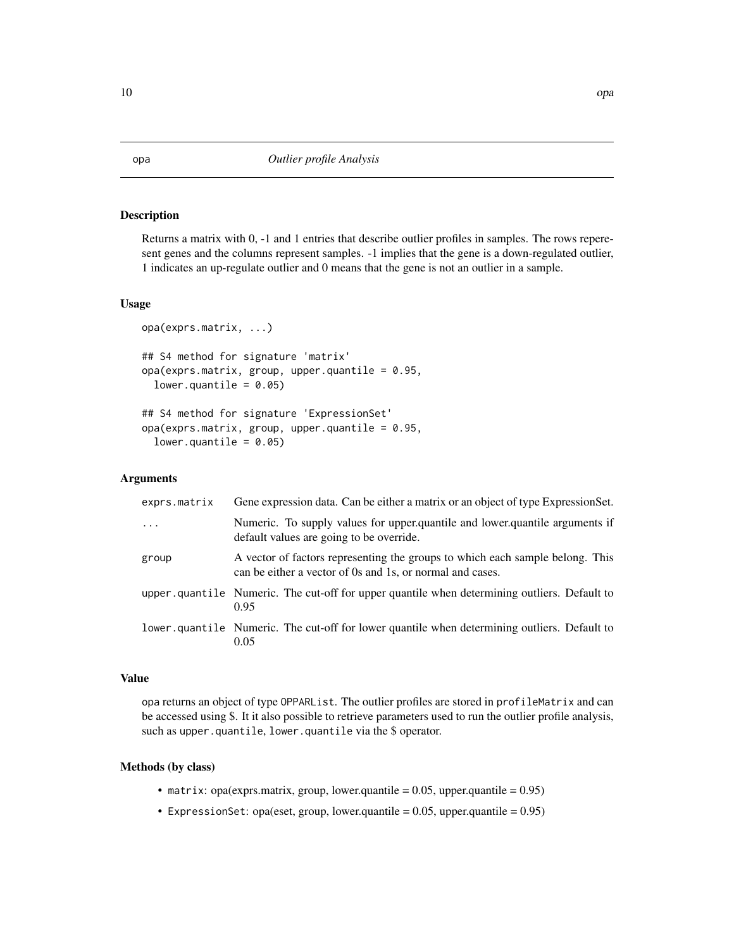#### Description

Returns a matrix with 0, -1 and 1 entries that describe outlier profiles in samples. The rows reperesent genes and the columns represent samples. -1 implies that the gene is a down-regulated outlier, 1 indicates an up-regulate outlier and 0 means that the gene is not an outlier in a sample.

#### Usage

```
opa(exprs.matrix, ...)
## S4 method for signature 'matrix'
opa(exprs.matrix, group, upper.quantile = <math>0.95</math>,lower.quantile = 0.05)
## S4 method for signature 'ExpressionSet'
opa(exprs.matrix, group, upper.quantile = <math>0.95</math>,lower.quantile = 0.05)
```
#### Arguments

| exprs.matrix | Gene expression data. Can be either a matrix or an object of type ExpressionSet.                                                           |
|--------------|--------------------------------------------------------------------------------------------------------------------------------------------|
| $\cdots$     | Numeric. To supply values for upper.quantile and lower.quantile arguments if<br>default values are going to be override.                   |
| group        | A vector of factors representing the groups to which each sample belong. This<br>can be either a vector of 0s and 1s, or normal and cases. |
|              | upper quantile Numeric. The cut-off for upper quantile when determining outliers. Default to<br>0.95                                       |
|              | lower quantile Numeric. The cut-off for lower quantile when determining outliers. Default to<br>0.05                                       |

#### Value

opa returns an object of type OPPARList. The outlier profiles are stored in profileMatrix and can be accessed using \$. It it also possible to retrieve parameters used to run the outlier profile analysis, such as upper.quantile, lower.quantile via the \$ operator.

#### Methods (by class)

- matrix: opa(exprs.matrix, group, lower.quantile =  $0.05$ , upper.quantile =  $0.95$ )
- ExpressionSet: opa(eset, group, lower.quantile =  $0.05$ , upper.quantile =  $0.95$ )

<span id="page-9-0"></span>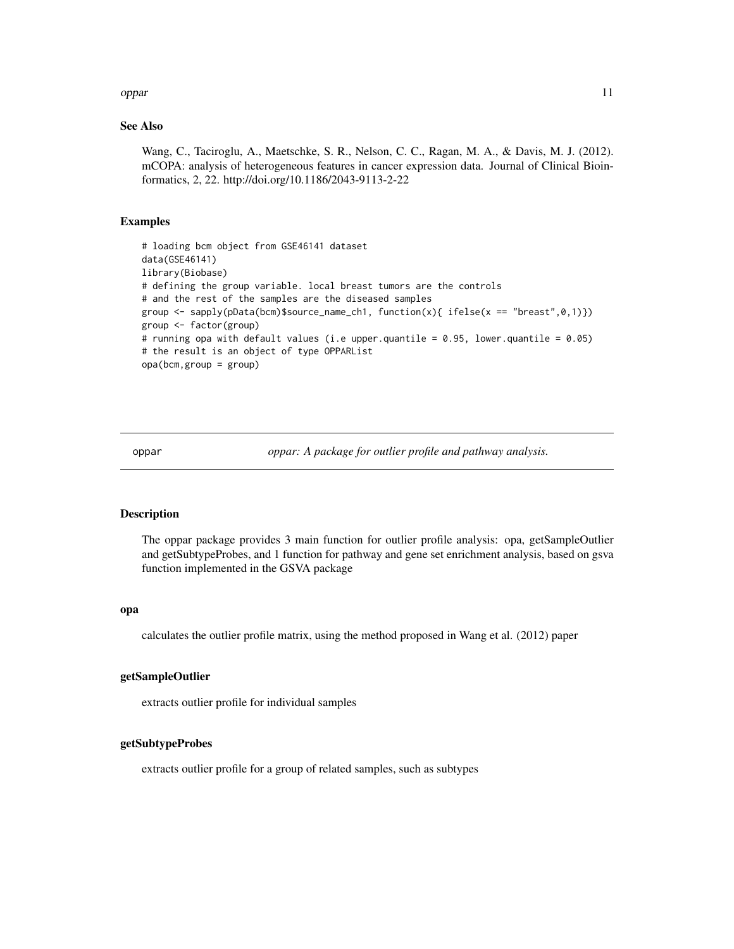#### <span id="page-10-0"></span>oppar to the contract of the contract of the contract of the contract of the contract of the contract of the contract of the contract of the contract of the contract of the contract of the contract of the contract of the c

#### See Also

Wang, C., Taciroglu, A., Maetschke, S. R., Nelson, C. C., Ragan, M. A., & Davis, M. J. (2012). mCOPA: analysis of heterogeneous features in cancer expression data. Journal of Clinical Bioinformatics, 2, 22. http://doi.org/10.1186/2043-9113-2-22

#### Examples

```
# loading bcm object from GSE46141 dataset
data(GSE46141)
library(Biobase)
# defining the group variable. local breast tumors are the controls
# and the rest of the samples are the diseased samples
group \leq sapply(pData(bcm)$source_name_ch1, function(x){ ifelse(x == "breast",0,1)})
group <- factor(group)
# running opa with default values (i.e upper.quantile = 0.95, lower.quantile = 0.05)
# the result is an object of type OPPARList
opa(bcm,group = group)
```
oppar *oppar: A package for outlier profile and pathway analysis.*

#### Description

The oppar package provides 3 main function for outlier profile analysis: opa, getSampleOutlier and getSubtypeProbes, and 1 function for pathway and gene set enrichment analysis, based on gsva function implemented in the GSVA package

#### opa

calculates the outlier profile matrix, using the method proposed in Wang et al. (2012) paper

#### getSampleOutlier

extracts outlier profile for individual samples

#### getSubtypeProbes

extracts outlier profile for a group of related samples, such as subtypes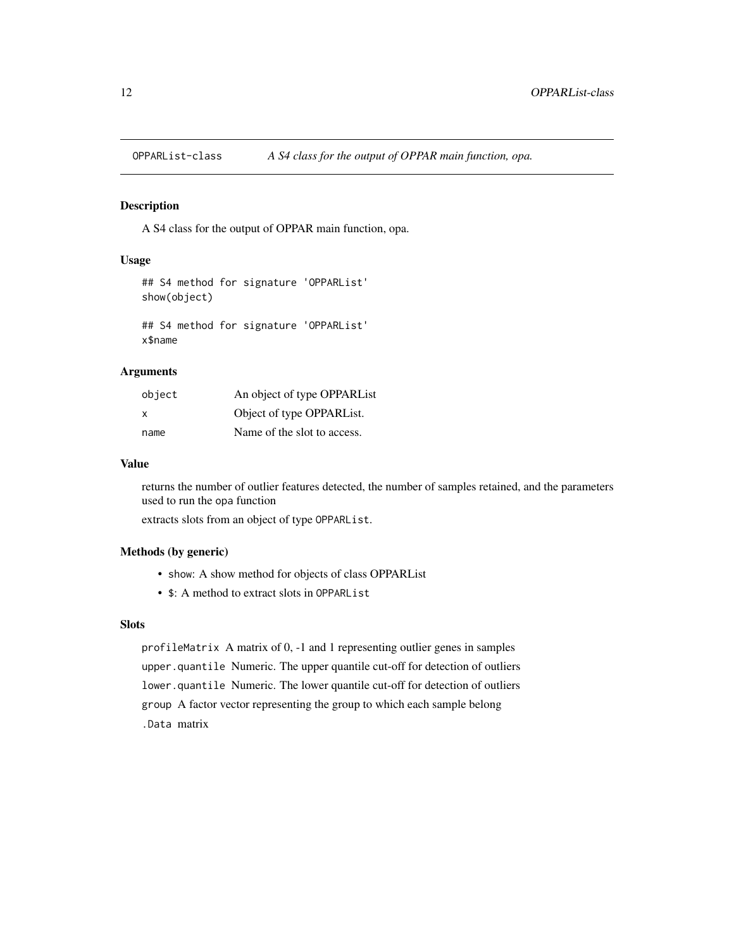<span id="page-11-0"></span>

#### Description

A S4 class for the output of OPPAR main function, opa.

#### Usage

```
## S4 method for signature 'OPPARList'
show(object)
```

```
## S4 method for signature 'OPPARList'
x$name
```
#### Arguments

| object | An object of type OPPARList |
|--------|-----------------------------|
| X      | Object of type OPPARList.   |
| name   | Name of the slot to access. |

#### Value

returns the number of outlier features detected, the number of samples retained, and the parameters used to run the opa function

extracts slots from an object of type OPPARList.

#### Methods (by generic)

- show: A show method for objects of class OPPARList
- \$: A method to extract slots in OPPARList

#### Slots

profileMatrix A matrix of 0, -1 and 1 representing outlier genes in samples upper.quantile Numeric. The upper quantile cut-off for detection of outliers lower.quantile Numeric. The lower quantile cut-off for detection of outliers group A factor vector representing the group to which each sample belong .Data matrix